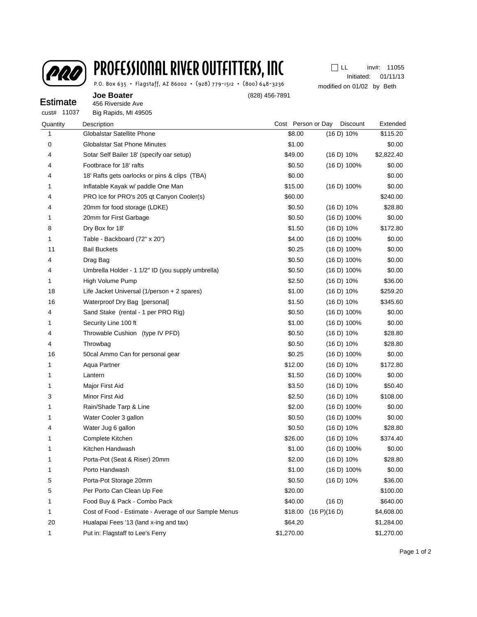

## PROFESSIONAL RIVER OUTFITTERS, INC

P.O. Box 635 · Flagstaff, AZ 86002 · (928) 779-1512 · (800) 648-3236

Initiated: 01/11/13 11055 inv#: modified on 01/02 by Beth  $\Box$  LL

| <b>Estimate</b> | <b>Joe Boater</b><br>456 Riverside Ave            | (828) 456-7891     |                 |            |  |
|-----------------|---------------------------------------------------|--------------------|-----------------|------------|--|
| 11037<br>cust#  | Big Rapids, MI 49505                              |                    |                 |            |  |
| Quantity        | Description                                       | Cost Person or Day | <b>Discount</b> | Extended   |  |
|                 | Globalstar Satellite Phone                        | \$8.00             | (16 D) 10%      | \$115.20   |  |
| 0               | <b>Globalstar Sat Phone Minutes</b>               | \$1.00             |                 | \$0.00     |  |
| 4               | Sotar Self Bailer 18' (specify oar setup)         | \$49.00            | (16 D) 10%      | \$2,822.40 |  |
| 4               | Footbrace for 18' rafts                           | \$0.50             | (16 D) 100%     | \$0.00     |  |
| 4               | 18' Rafts gets oarlocks or pins & clips (TBA)     | \$0.00             |                 | \$0.00     |  |
| 1               | Inflatable Kayak w/ paddle One Man                | \$15.00            | $(16 D) 100\%$  | \$0.00     |  |
| 4               | PRO Ice for PRO's 205 qt Canyon Cooler(s)         | \$60.00            |                 | \$240.00   |  |
| 4               | 20mm for food storage (LDKE)                      | \$0.50             | (16 D) 10%      | \$28.80    |  |
| 1               | 20mm for First Garbage                            | \$0.50             | (16 D) 100%     | \$0.00     |  |
| 8               | Dry Box for 18'                                   | \$1.50             | (16 D) 10%      | \$172.80   |  |
| 1               | Table - Backboard (72" x 20")                     | \$4.00             | (16 D) 100%     | \$0.00     |  |
| 11              | <b>Bail Buckets</b>                               | \$0.25             | (16 D) 100%     | \$0.00     |  |
| 4               | Drag Bag                                          | \$0.50             | (16 D) 100%     | \$0.00     |  |
| 4               | Umbrella Holder - 1 1/2" ID (you supply umbrella) | \$0.50             | (16 D) 100%     | \$0.00     |  |

| 1  | Inflatable Kayak w/ paddle One Man                    | \$15.00    | (16 D) 100%             | \$0.00     |
|----|-------------------------------------------------------|------------|-------------------------|------------|
| 4  | PRO Ice for PRO's 205 qt Canyon Cooler(s)             | \$60.00    |                         | \$240.00   |
| 4  | 20mm for food storage (LDKE)                          | \$0.50     | (16 D) 10%              | \$28.80    |
| 1  | 20mm for First Garbage                                | \$0.50     | (16 D) 100%             | \$0.00     |
| 8  | Dry Box for 18'                                       | \$1.50     | (16 D) 10%              | \$172.80   |
| 1  | Table - Backboard (72" x 20")                         | \$4.00     | $(16 D) 100\%$          | \$0.00     |
| 11 | <b>Bail Buckets</b>                                   | \$0.25     | $(16 D) 100\%$          | \$0.00     |
| 4  | Drag Bag                                              | \$0.50     | $(16 D) 100\%$          | \$0.00     |
| 4  | Umbrella Holder - 1 1/2" ID (you supply umbrella)     | \$0.50     | (16 D) 100%             | \$0.00     |
| 1  | High Volume Pump                                      | \$2.50     | (16 D) 10%              | \$36.00    |
| 18 | Life Jacket Universal (1/person + 2 spares)           | \$1.00     | (16 D) 10%              | \$259.20   |
| 16 | Waterproof Dry Bag [personal]                         | \$1.50     | (16 D) 10%              | \$345.60   |
| 4  | Sand Stake (rental - 1 per PRO Rig)                   | \$0.50     | $(16 D) 100\%$          | \$0.00     |
| 1  | Security Line 100 ft                                  | \$1.00     | (16 D) 100%             | \$0.00     |
| 4  | Throwable Cushion (type IV PFD)                       | \$0.50     | (16 D) 10%              | \$28.80    |
| 4  | Throwbag                                              | \$0.50     | (16 D) 10%              | \$28.80    |
| 16 | 50cal Ammo Can for personal gear                      | \$0.25     | $(16 D) 100\%$          | \$0.00     |
| 1  | Aqua Partner                                          | \$12.00    | (16 D) 10%              | \$172.80   |
| 1  | Lantern                                               | \$1.50     | (16 D) 100%             | \$0.00     |
| 1  | Major First Aid                                       | \$3.50     | (16 D) 10%              | \$50.40    |
| 3  | Minor First Aid                                       | \$2.50     | (16 D) 10%              | \$108.00   |
| 1  | Rain/Shade Tarp & Line                                | \$2.00     | (16 D) 100%             | \$0.00     |
| 1  | Water Cooler 3 gallon                                 | \$0.50     | (16 D) 100%             | \$0.00     |
| 4  | Water Jug 6 gallon                                    | \$0.50     | (16 D) 10%              | \$28.80    |
| 1  | Complete Kitchen                                      | \$26.00    | (16 D) 10%              | \$374.40   |
| 1  | Kitchen Handwash                                      | \$1.00     | $(16 D) 100\%$          | \$0.00     |
| 1  | Porta-Pot (Seat & Riser) 20mm                         | \$2.00     | (16 D) 10%              | \$28.80    |
| 1  | Porto Handwash                                        | \$1.00     | (16 D) 100%             | \$0.00     |
| 5  | Porta-Pot Storage 20mm                                | \$0.50     | (16 D) 10%              | \$36.00    |
| 5  | Per Porto Can Clean Up Fee                            | \$20.00    |                         | \$100.00   |
| 1  | Food Buy & Pack - Combo Pack                          | \$40.00    | (16 D)                  | \$640.00   |
| 1  | Cost of Food - Estimate - Average of our Sample Menus |            | $$18.00$ $(16 P)(16 D)$ | \$4,608.00 |
| 20 | Hualapai Fees '13 (land x-ing and tax)                | \$64.20    |                         | \$1,284.00 |
| 1  | Put in: Flagstaff to Lee's Ferry                      | \$1,270.00 |                         | \$1,270.00 |
|    |                                                       |            |                         |            |